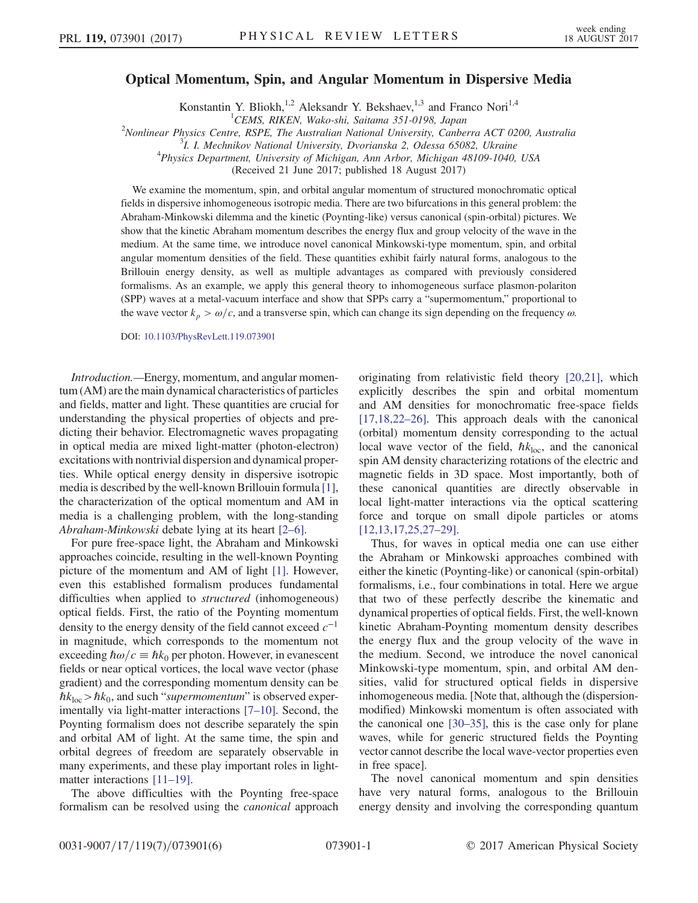## Optical Momentum, Spin, and Angular Momentum in Dispersive Media

Konstantin Y. Bliokh,<sup>1,2</sup> Aleksandr Y. Bekshaev,<sup>1,3</sup> and Franco Nori<sup>1,4</sup>

<sup>1</sup>CEMS, RIKEN, Wako-shi, Saitama 351-0198, Japan  $^{1}$ CEMS, RIKEN, Wako-shi, Saitama 351-0198, Japan<br><sup>2</sup>Newlinean Physics Centre, PSPE, The Australian National University Cenha

Nonlinear Physics Centre, RSPE, The Australian National University, Canberra ACT 0200, Australia<br><sup>3</sup> *J. J. Mashnikov National University, Dyorianska* 2, Odessa 65082, Ultraina

 $1.$  I. Mechnikov National University, Dvorianska 2, Odessa 65082, Ukraine

<sup>4</sup>Physics Department, University of Michigan, Ann Arbor, Michigan 48109-1040, USA

(Received 21 June 2017; published 18 August 2017)

We examine the momentum, spin, and orbital angular momentum of structured monochromatic optical fields in dispersive inhomogeneous isotropic media. There are two bifurcations in this general problem: the Abraham-Minkowski dilemma and the kinetic (Poynting-like) versus canonical (spin-orbital) pictures. We show that the kinetic Abraham momentum describes the energy flux and group velocity of the wave in the medium. At the same time, we introduce novel canonical Minkowski-type momentum, spin, and orbital angular momentum densities of the field. These quantities exhibit fairly natural forms, analogous to the Brillouin energy density, as well as multiple advantages as compared with previously considered formalisms. As an example, we apply this general theory to inhomogeneous surface plasmon-polariton (SPP) waves at a metal-vacuum interface and show that SPPs carry a "supermomentum," proportional to the wave vector  $k_p > \omega/c$ , and a transverse spin, which can change its sign depending on the frequency  $\omega$ .

DOI: [10.1103/PhysRevLett.119.073901](https://doi.org/10.1103/PhysRevLett.119.073901)

Introduction.—Energy, momentum, and angular momentum (AM) are the main dynamical characteristics of particles and fields, matter and light. These quantities are crucial for understanding the physical properties of objects and predicting their behavior. Electromagnetic waves propagating in optical media are mixed light-matter (photon-electron) excitations with nontrivial dispersion and dynamical properties. While optical energy density in dispersive isotropic media is described by the well-known Brillouin formula [\[1\]](#page-4-0), the characterization of the optical momentum and AM in media is a challenging problem, with the long-standing Abraham-Minkowski debate lying at its heart [2–[6\].](#page-4-1)

For pure free-space light, the Abraham and Minkowski approaches coincide, resulting in the well-known Poynting picture of the momentum and AM of light [\[1\].](#page-4-0) However, even this established formalism produces fundamental difficulties when applied to *structured* (inhomogeneous) optical fields. First, the ratio of the Poynting momentum density to the energy density of the field cannot exceed  $c^{-1}$ in magnitude, which corresponds to the momentum not exceeding  $\hbar \omega/c \equiv \hbar k_0$  per photon. However, in evanescent fields or near optical vortices, the local wave vector (phase gradient) and the corresponding momentum density can be  $\hbar k_{\text{loc}} > \hbar k_0$ , and such "supermomentum" is observed experimentally via light-matter interactions [7–[10\].](#page-4-2) Second, the Poynting formalism does not describe separately the spin and orbital AM of light. At the same time, the spin and orbital degrees of freedom are separately observable in many experiments, and these play important roles in light-matter interactions [11–[19\].](#page-4-3)

The above difficulties with the Poynting free-space formalism can be resolved using the canonical approach originating from relativistic field theory [\[20,21\],](#page-4-4) which explicitly describes the spin and orbital momentum and AM densities for monochromatic free-space fields [\[17,18,22](#page-4-5)–26]. This approach deals with the canonical (orbital) momentum density corresponding to the actual local wave vector of the field,  $\hbar k_{\text{loc}}$ , and the canonical spin AM density characterizing rotations of the electric and magnetic fields in 3D space. Most importantly, both of these canonical quantities are directly observable in local light-matter interactions via the optical scattering force and torque on small dipole particles or atoms [\[12,13,17,25,27](#page-4-6)–29].

Thus, for waves in optical media one can use either the Abraham or Minkowski approaches combined with either the kinetic (Poynting-like) or canonical (spin-orbital) formalisms, i.e., four combinations in total. Here we argue that two of these perfectly describe the kinematic and dynamical properties of optical fields. First, the well-known kinetic Abraham-Poynting momentum density describes the energy flux and the group velocity of the wave in the medium. Second, we introduce the novel canonical Minkowski-type momentum, spin, and orbital AM densities, valid for structured optical fields in dispersive inhomogeneous media. [Note that, although the (dispersionmodified) Minkowski momentum is often associated with the canonical one [\[30](#page-5-0)–35], this is the case only for plane waves, while for generic structured fields the Poynting vector cannot describe the local wave-vector properties even in free space].

The novel canonical momentum and spin densities have very natural forms, analogous to the Brillouin energy density and involving the corresponding quantum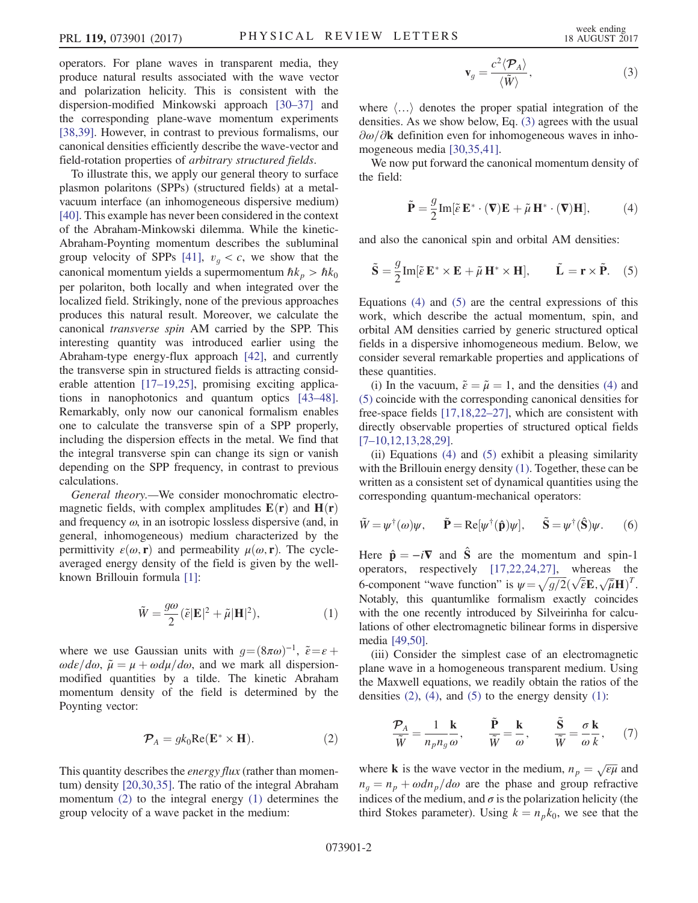operators. For plane waves in transparent media, they produce natural results associated with the wave vector and polarization helicity. This is consistent with the dispersion-modified Minkowski approach [30–[37\]](#page-5-0) and the corresponding plane-wave momentum experiments [\[38,39\]](#page-5-1). However, in contrast to previous formalisms, our canonical densities efficiently describe the wave-vector and field-rotation properties of arbitrary structured fields.

To illustrate this, we apply our general theory to surface plasmon polaritons (SPPs) (structured fields) at a metalvacuum interface (an inhomogeneous dispersive medium) [\[40\]](#page-5-2). This example has never been considered in the context of the Abraham-Minkowski dilemma. While the kinetic-Abraham-Poynting momentum describes the subluminal group velocity of SPPs [\[41\],](#page-5-3)  $v_g < c$ , we show that the canonical momentum yields a supermomentum  $\hbar k_p > \hbar k_0$ per polariton, both locally and when integrated over the localized field. Strikingly, none of the previous approaches produces this natural result. Moreover, we calculate the canonical transverse spin AM carried by the SPP. This interesting quantity was introduced earlier using the Abraham-type energy-flux approach [\[42\]](#page-5-4), and currently the transverse spin in structured fields is attracting considerable attention [17–[19,25\]](#page-4-5), promising exciting applications in nanophotonics and quantum optics [\[43](#page-5-5)–48]. Remarkably, only now our canonical formalism enables one to calculate the transverse spin of a SPP properly, including the dispersion effects in the metal. We find that the integral transverse spin can change its sign or vanish depending on the SPP frequency, in contrast to previous calculations.

<span id="page-1-1"></span>General theory.—We consider monochromatic electromagnetic fields, with complex amplitudes  $E(\mathbf{r})$  and  $H(\mathbf{r})$ and frequency  $\omega$ , in an isotropic lossless dispersive (and, in general, inhomogeneous) medium characterized by the permittivity  $\varepsilon(\omega, \mathbf{r})$  and permeability  $\mu(\omega, \mathbf{r})$ . The cycleaveraged energy density of the field is given by the wellknown Brillouin formula [\[1\]](#page-4-0):

$$
\tilde{W} = \frac{g\omega}{2} (\tilde{\varepsilon}|\mathbf{E}|^2 + \tilde{\mu}|\mathbf{H}|^2), \tag{1}
$$

<span id="page-1-0"></span>where we use Gaussian units with  $g = (8\pi\omega)^{-1}$ ,  $\tilde{\varepsilon} = \varepsilon$  +  $\omega d\varepsilon/d\omega$ ,  $\tilde{\mu} = \mu + \omega d\mu/d\omega$ , and we mark all dispersionmodified quantities by a tilde. The kinetic Abraham momentum density of the field is determined by the Poynting vector:

$$
\mathcal{P}_A = g k_0 \text{Re}(\mathbf{E}^* \times \mathbf{H}).\tag{2}
$$

<span id="page-1-2"></span>This quantity describes the *energy flux* (rather than momentum) density [\[20,30,35\].](#page-4-4) The ratio of the integral Abraham momentum [\(2\)](#page-1-0) to the integral energy [\(1\)](#page-1-1) determines the group velocity of a wave packet in the medium:

$$
\mathbf{v}_g = \frac{c^2 \langle \mathcal{P}_A \rangle}{\langle \tilde{W} \rangle},\tag{3}
$$

where  $\langle \ldots \rangle$  denotes the proper spatial integration of the densities. As we show below, Eq. [\(3\)](#page-1-2) agrees with the usual  $\partial \omega/\partial k$  definition even for inhomogeneous waves in inhomogeneous media [\[30,35,41\].](#page-5-0)

<span id="page-1-3"></span>We now put forward the canonical momentum density of the field:

$$
\tilde{\mathbf{P}} = \frac{g}{2} \text{Im}[\tilde{\varepsilon} \mathbf{E}^* \cdot (\mathbf{\nabla}) \mathbf{E} + \tilde{\mu} \mathbf{H}^* \cdot (\mathbf{\nabla}) \mathbf{H}], \tag{4}
$$

<span id="page-1-4"></span>and also the canonical spin and orbital AM densities:

$$
\tilde{\mathbf{S}} = \frac{g}{2} \text{Im}[\tilde{\varepsilon} \mathbf{E}^* \times \mathbf{E} + \tilde{\mu} \mathbf{H}^* \times \mathbf{H}], \qquad \tilde{\mathbf{L}} = \mathbf{r} \times \tilde{\mathbf{P}}.
$$
 (5)

Equations [\(4\)](#page-1-3) and [\(5\)](#page-1-4) are the central expressions of this work, which describe the actual momentum, spin, and orbital AM densities carried by generic structured optical fields in a dispersive inhomogeneous medium. Below, we consider several remarkable properties and applications of these quantities.

(i) In the vacuum,  $\tilde{\varepsilon} = \tilde{\mu} = 1$ , and the densities [\(4\)](#page-1-3) and [\(5\)](#page-1-4) coincide with the corresponding canonical densities for free-space fields [\[17,18,22](#page-4-5)–27], which are consistent with directly observable properties of structured optical fields [7–[10,12,13,28,29\]](#page-4-2).

(ii) Equations [\(4\)](#page-1-3) and [\(5\)](#page-1-4) exhibit a pleasing similarity with the Brillouin energy density [\(1\)](#page-1-1). Together, these can be written as a consistent set of dynamical quantities using the corresponding quantum-mechanical operators:

$$
\tilde{W} = \psi^{\dagger}(\omega)\psi, \quad \tilde{\mathbf{P}} = \text{Re}[\psi^{\dagger}(\hat{\mathbf{p}})\psi], \quad \tilde{\mathbf{S}} = \psi^{\dagger}(\hat{\mathbf{S}})\psi. \quad (6)
$$

Here  $\hat{\mathbf{p}} = -i\mathbf{\nabla}$  and  $\hat{\mathbf{S}}$  are the momentum and spin-1 operators, respectively [\[17,22,24,27\],](#page-4-5) whereas the 6-component "wave function" is  $\psi = \sqrt{g/2}(\sqrt{\tilde{\epsilon}}\mathbf{E}, \sqrt{\tilde{\mu}}\mathbf{H})^T$ .<br>Notably this quantumlike formalism exactly coincides Notably, this quantumlike formalism exactly coincides with the one recently introduced by Silveirinha for calculations of other electromagnetic bilinear forms in dispersive media [\[49,50\]](#page-5-6).

<span id="page-1-5"></span>(iii) Consider the simplest case of an electromagnetic plane wave in a homogeneous transparent medium. Using the Maxwell equations, we readily obtain the ratios of the densities  $(2)$ ,  $(4)$ , and  $(5)$  to the energy density  $(1)$ :

$$
\frac{\mathcal{P}_A}{\tilde{W}} = \frac{1}{n_p n_g} \frac{\mathbf{k}}{\omega}, \qquad \frac{\tilde{\mathbf{P}}}{\tilde{W}} = \frac{\mathbf{k}}{\omega}, \qquad \frac{\tilde{\mathbf{S}}}{\tilde{W}} = \frac{\sigma}{\omega} \frac{\mathbf{k}}{k}, \qquad (7)
$$

where **k** is the wave vector in the medium,  $n_p = \sqrt{\epsilon \mu}$  and  $n = n + \omega dn$  (*do* are the phase and group refractive  $n_q = n_p + \omega \frac{dn_p}{d\omega}$  are the phase and group refractive indices of the medium, and  $\sigma$  is the polarization helicity (the third Stokes parameter). Using  $k = n_p k_0$ , we see that the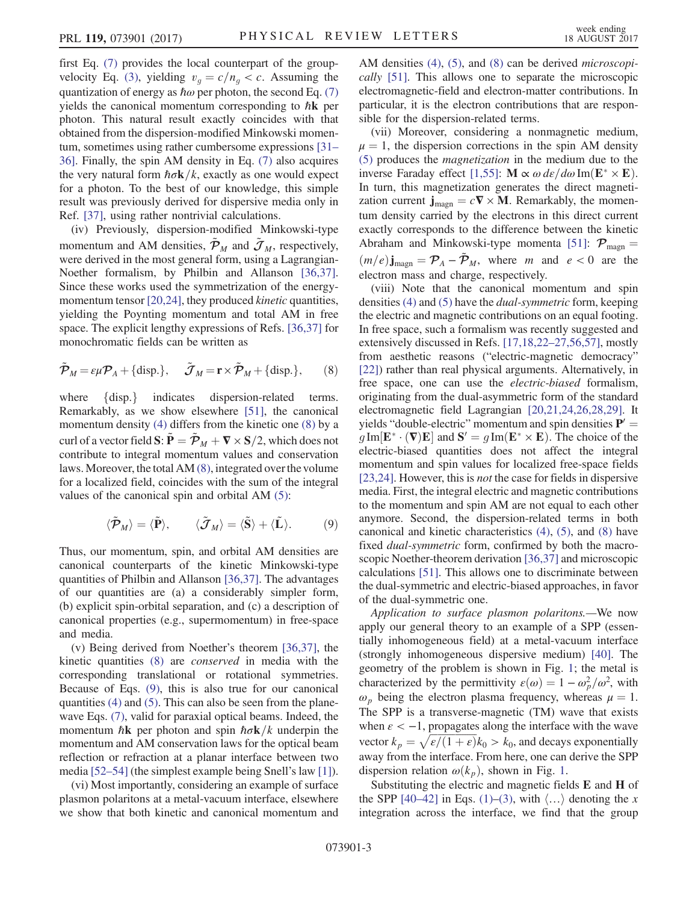first Eq. [\(7\)](#page-1-5) provides the local counterpart of the group-velocity Eq. [\(3\)](#page-1-2), yielding  $v_g = c/n_g < c$ . Assuming the quantization of energy as  $\hbar\omega$  per photon, the second Eq. [\(7\)](#page-1-5) yields the canonical momentum corresponding to  $\hbar$ **k** per photon. This natural result exactly coincides with that obtained from the dispersion-modified Minkowski momentum, sometimes using rather cumbersome expressions [\[31](#page-5-7)– [36\].](#page-5-7) Finally, the spin AM density in Eq. [\(7\)](#page-1-5) also acquires the very natural form  $\hbar \sigma \mathbf{k}/k$ , exactly as one would expect for a photon. To the best of our knowledge, this simple result was previously derived for dispersive media only in Ref. [\[37\],](#page-5-8) using rather nontrivial calculations.

(iv) Previously, dispersion-modified Minkowski-type momentum and AM densities,  $\mathcal{P}_M$  and  $\mathcal{J}_M$ , respectively, were derived in the most general form, using a Lagrangian-Noether formalism, by Philbin and Allanson [\[36,37\]](#page-5-9). Since these works used the symmetrization of the energy-momentum tensor [\[20,24\]](#page-4-4), they produced *kinetic* quantities, yielding the Poynting momentum and total AM in free space. The explicit lengthy expressions of Refs. [\[36,37\]](#page-5-9) for monochromatic fields can be written as

<span id="page-2-0"></span>
$$
\tilde{\boldsymbol{\mathcal{P}}}_M = \varepsilon \mu \boldsymbol{\mathcal{P}}_A + \{\text{disp.}\}, \quad \tilde{\boldsymbol{\mathcal{J}}}_M = \mathbf{r} \times \tilde{\boldsymbol{\mathcal{P}}}_M + \{\text{disp.}\},\qquad(8)
$$

where {disp.} indicates dispersion-related terms.<br>Remarkably, as we show elsewhere [\[51\],](#page-5-10) the canonical momentum density [\(4\)](#page-1-3) differs from the kinetic one [\(8\)](#page-2-0) by a curl of a vector field  $\mathbf{S}:\tilde{\mathbf{P}} = \tilde{\mathcal{P}}_M + \nabla \times \mathbf{S}/2$ , which does not contribute to integral momentum values and conservation laws. Moreover, the total AM [\(8\),](#page-2-0) integrated over the volume for a localized field, coincides with the sum of the integral values of the canonical spin and orbital AM [\(5\):](#page-1-4)

<span id="page-2-1"></span>
$$
\langle \tilde{\mathcal{P}}_M \rangle = \langle \tilde{\mathbf{P}} \rangle, \qquad \langle \tilde{\mathcal{J}}_M \rangle = \langle \tilde{\mathbf{S}} \rangle + \langle \tilde{\mathbf{L}} \rangle. \tag{9}
$$

Thus, our momentum, spin, and orbital AM densities are canonical counterparts of the kinetic Minkowski-type quantities of Philbin and Allanson [\[36,37\]](#page-5-9). The advantages of our quantities are (a) a considerably simpler form, (b) explicit spin-orbital separation, and (c) a description of canonical properties (e.g., supermomentum) in free-space and media.

(v) Being derived from Noether's theorem [\[36,37\],](#page-5-9) the kinetic quantities [\(8\)](#page-2-0) are conserved in media with the corresponding translational or rotational symmetries. Because of Eqs. [\(9\)](#page-2-1), this is also true for our canonical quantities [\(4\)](#page-1-3) and [\(5\).](#page-1-4) This can also be seen from the planewave Eqs. [\(7\)](#page-1-5), valid for paraxial optical beams. Indeed, the momentum  $\hbar$ **k** per photon and spin  $\hbar \sigma$ **k**/k underpin the momentum and AM conservation laws for the optical beam reflection or refraction at a planar interface between two media [\[52](#page-5-11)–54] (the simplest example being Snell's law [\[1\]](#page-4-0)).

(vi) Most importantly, considering an example of surface plasmon polaritons at a metal-vacuum interface, elsewhere we show that both kinetic and canonical momentum and AM densities [\(4\),](#page-1-3) [\(5\)](#page-1-4), and [\(8\)](#page-2-0) can be derived *microscopi*cally [\[51\]](#page-5-10). This allows one to separate the microscopic electromagnetic-field and electron-matter contributions. In particular, it is the electron contributions that are responsible for the dispersion-related terms.

(vii) Moreover, considering a nonmagnetic medium,  $\mu = 1$ , the dispersion corrections in the spin AM density [\(5\)](#page-1-4) produces the magnetization in the medium due to the inverse Faraday effect [\[1,55\]](#page-4-0):  $\mathbf{M} \propto \omega \, d\varepsilon / d\omega \, \text{Im}(\mathbf{E}^* \times \mathbf{E})$ .<br>In turn, this magnetization generates the direct magneti-In turn, this magnetization generates the direct magnetization current  $\mathbf{j}_{\text{magn}} = c \nabla \times \mathbf{M}$ . Remarkably, the momentum density carried by the electrons in this direct current exactly corresponds to the difference between the kinetic Abraham and Minkowski-type momenta [\[51\]](#page-5-10):  $P_{\text{magn}} =$  $(m/e)$ **j**<sub>magn</sub> =  $\mathcal{P}_A - \tilde{\mathcal{P}}_M$ , where m and  $e < 0$  are the electron mass and charge, respectively.

(viii) Note that the canonical momentum and spin densities [\(4\)](#page-1-3) and [\(5\)](#page-1-4) have the dual-symmetric form, keeping the electric and magnetic contributions on an equal footing. In free space, such a formalism was recently suggested and extensively discussed in Refs. [17,18,22–[27,56,57\],](#page-4-5) mostly from aesthetic reasons ("electric-magnetic democracy" [\[22\]](#page-4-7)) rather than real physical arguments. Alternatively, in free space, one can use the electric-biased formalism, originating from the dual-asymmetric form of the standard electromagnetic field Lagrangian [\[20,21,24,26,28,29\].](#page-4-4) It yields "double-electric" momentum and spin densities  $P' =$  $g\text{Im}[\mathbf{E}^*\cdot(\nabla)\mathbf{E}]$  and  $\mathbf{S}' = g\text{Im}(\mathbf{E}^*\times\mathbf{E})$ . The choice of the electric-biased quantities does not affect the integral electric-biased quantities does not affect the integral momentum and spin values for localized free-space fields [\[23,24\]](#page-4-8). However, this is *not* the case for fields in dispersive media. First, the integral electric and magnetic contributions to the momentum and spin AM are not equal to each other anymore. Second, the dispersion-related terms in both canonical and kinetic characteristics [\(4\),](#page-1-3) [\(5\),](#page-1-4) and [\(8\)](#page-2-0) have fixed dual-symmetric form, confirmed by both the macroscopic Noether-theorem derivation [\[36,37\]](#page-5-9) and microscopic calculations [\[51\].](#page-5-10) This allows one to discriminate between the dual-symmetric and electric-biased approaches, in favor of the dual-symmetric one.

Application to surface plasmon polaritons.—We now apply our general theory to an example of a SPP (essentially inhomogeneous field) at a metal-vacuum interface (strongly inhomogeneous dispersive medium) [\[40\].](#page-5-2) The geometry of the problem is shown in Fig. [1;](#page-3-0) the metal is characterized by the permittivity  $\varepsilon(\omega) = 1 - \omega_p^2/\omega^2$ , with  $\omega$ , being the electron plasma frequency, whereas  $\mu - 1$  $\omega_p$  being the electron plasma frequency, whereas  $\mu = 1$ . The SPP is a transverse-magnetic (TM) wave that exists when  $\varepsilon < -1$ , propagates along the interface with the wave vector  $k_p = \sqrt{\varepsilon/(1+\varepsilon)}k_0 > k_0$ , and decays exponentially<br>away from the interface. From here, one can derive the SPP away from the interface. From here, one can derive the SPP dispersion relation  $\omega(k_p)$ , shown in Fig. [1](#page-3-0).

Substituting the electric and magnetic fields E and H of the SPP [40–[42\]](#page-5-2) in Eqs. [\(1\)](#page-1-1)–[\(3\),](#page-1-2) with  $\langle \ldots \rangle$  denoting the x integration across the interface, we find that the group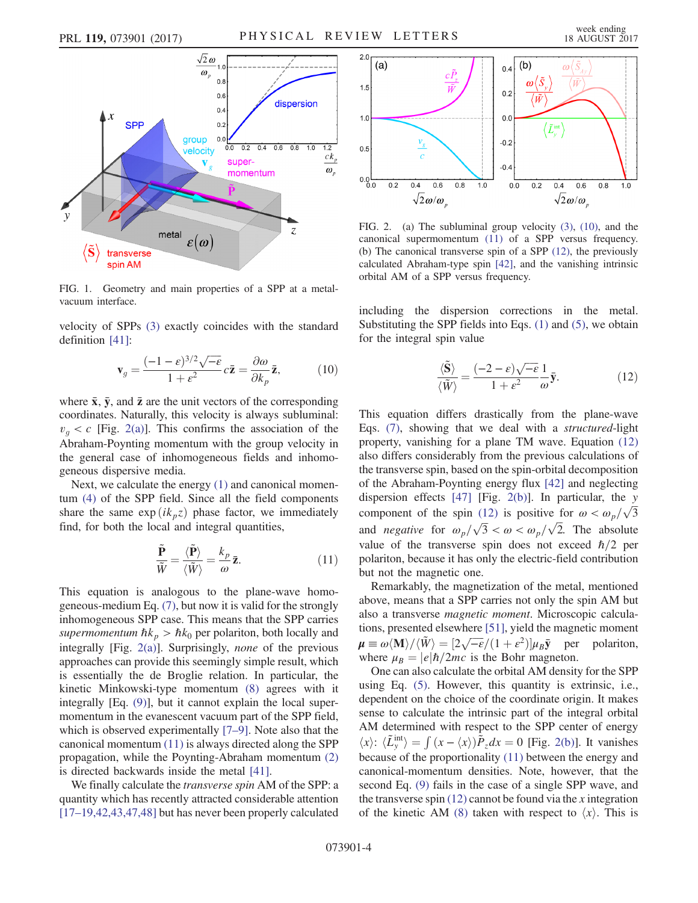<span id="page-3-0"></span>

FIG. 1. Geometry and main properties of a SPP at a metalvacuum interface.

<span id="page-3-4"></span>velocity of SPPs [\(3\)](#page-1-2) exactly coincides with the standard definition [\[41\]](#page-5-3):

$$
\mathbf{v}_g = \frac{(-1 - \varepsilon)^{3/2}\sqrt{-\varepsilon}}{1 + \varepsilon^2} c\bar{\mathbf{z}} = \frac{\partial \omega}{\partial k_p} \bar{\mathbf{z}},\tag{10}
$$

where  $\bar{x}$ ,  $\bar{y}$ , and  $\bar{z}$  are the unit vectors of the corresponding coordinates. Naturally, this velocity is always subluminal:  $v_q < c$  [Fig. [2\(a\)](#page-3-1)]. This confirms the association of the Abraham-Poynting momentum with the group velocity in the general case of inhomogeneous fields and inhomogeneous dispersive media.

<span id="page-3-2"></span>Next, we calculate the energy [\(1\)](#page-1-1) and canonical momentum [\(4\)](#page-1-3) of the SPP field. Since all the field components share the same  $\exp(ik_pz)$  phase factor, we immediately find, for both the local and integral quantities,

$$
\frac{\tilde{\mathbf{P}}}{\tilde{W}} = \frac{\langle \tilde{\mathbf{P}} \rangle}{\langle \tilde{W} \rangle} = \frac{k_p}{\omega} \bar{\mathbf{z}}.
$$
 (11)

This equation is analogous to the plane-wave homogeneous-medium Eq. [\(7\)](#page-1-5), but now it is valid for the strongly inhomogeneous SPP case. This means that the SPP carries supermomentum  $\hbar k_p > \hbar k_0$  per polariton, both locally and integrally [Fig. [2\(a\)](#page-3-1)]. Surprisingly, none of the previous approaches can provide this seemingly simple result, which is essentially the de Broglie relation. In particular, the kinetic Minkowski-type momentum [\(8\)](#page-2-0) agrees with it integrally [Eq. [\(9\)\]](#page-2-1), but it cannot explain the local supermomentum in the evanescent vacuum part of the SPP field, which is observed experimentally [7–[9\].](#page-4-2) Note also that the canonical momentum [\(11\)](#page-3-2) is always directed along the SPP propagation, while the Poynting-Abraham momentum [\(2\)](#page-1-0) is directed backwards inside the metal [\[41\]](#page-5-3).

We finally calculate the *transverse spin* AM of the SPP: a quantity which has recently attracted considerable attention [17–[19,42,43,47,48\]](#page-4-5) but has never been properly calculated

<span id="page-3-1"></span>

FIG. 2. (a) The subluminal group velocity [\(3\),](#page-1-2) [\(10\),](#page-3-4) and the canonical supermomentum [\(11\)](#page-3-2) of a SPP versus frequency. (b) The canonical transverse spin of a SPP [\(12\),](#page-3-3) the previously calculated Abraham-type spin [\[42\]](#page-5-4), and the vanishing intrinsic orbital AM of a SPP versus frequency.

<span id="page-3-3"></span>including the dispersion corrections in the metal. Substituting the SPP fields into Eqs. [\(1\)](#page-1-1) and [\(5\),](#page-1-4) we obtain for the integral spin value

$$
\frac{\langle \tilde{\mathbf{S}} \rangle}{\langle \tilde{W} \rangle} = \frac{(-2 - \varepsilon)\sqrt{-\varepsilon}}{1 + \varepsilon^2} \frac{1}{\omega} \bar{\mathbf{y}}.
$$
 (12)

This equation differs drastically from the plane-wave Eqs. [\(7\),](#page-1-5) showing that we deal with a structured-light property, vanishing for a plane TM wave. Equation [\(12\)](#page-3-3) also differs considerably from the previous calculations of the transverse spin, based on the spin-orbital decomposition of the Abraham-Poynting energy flux [\[42\]](#page-5-4) and neglecting dispersion effects  $[47]$  [Fig. [2\(b\)\]](#page-3-1). In particular, the y component of the spin [\(12\)](#page-3-3) is positive for  $\omega < \omega_p/\sqrt{3}$ and *negative* for  $\omega_p/\sqrt{3} < \omega < \omega_p/\sqrt{2}$ . The absolute value of the transverse spin does not exceed  $\hbar/2$  per polariton, because it has only the electric-field contribution but not the magnetic one.

Remarkably, the magnetization of the metal, mentioned above, means that a SPP carries not only the spin AM but also a transverse magnetic moment. Microscopic calculations, presented elsewhere [\[51\],](#page-5-10) yield the magnetic moment  $\mu \equiv \omega \langle M \rangle / \langle \tilde{W} \rangle = [2\sqrt{-\epsilon}/(1+\epsilon^2)] \mu_B \bar{y}$  per polariton,<br>where  $\mu_B = |\epsilon| \hbar / 2mc$  is the Bohr magneton where  $\mu_B = |e|\hbar/2mc$  is the Bohr magneton.

One can also calculate the orbital AM density for the SPP using Eq. [\(5\).](#page-1-4) However, this quantity is extrinsic, i.e., dependent on the choice of the coordinate origin. It makes sense to calculate the intrinsic part of the integral orbital AM determined with respect to the SPP center of energy  $\langle x \rangle$ :  $\langle \tilde{L}^{\text{int}}_{y} \rangle = \int (x - \langle x \rangle) \tilde{P}_z dx = 0$  [Fig. [2\(b\)](#page-3-1)]. It vanishes because of the proportionality [\(11\)](#page-3-2) between the energy and canonical-momentum densities. Note, however, that the second Eq. [\(9\)](#page-2-1) fails in the case of a single SPP wave, and the transverse spin  $(12)$  cannot be found via the x integration of the kinetic AM [\(8\)](#page-2-0) taken with respect to  $\langle x \rangle$ . This is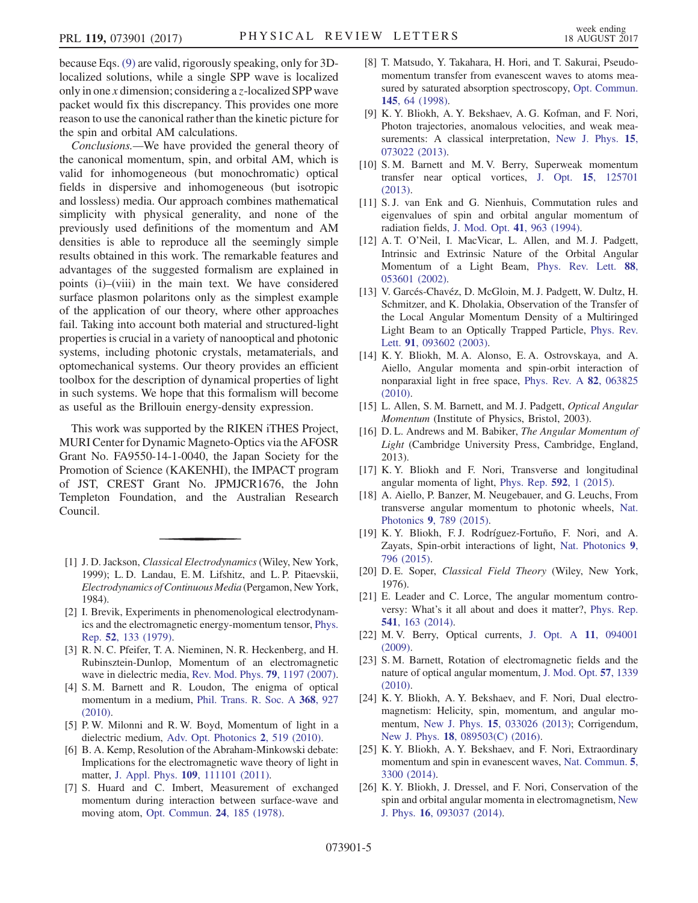because Eqs. [\(9\)](#page-2-1) are valid, rigorously speaking, only for 3Dlocalized solutions, while a single SPP wave is localized only in one x dimension; considering a z-localized SPP wave packet would fix this discrepancy. This provides one more reason to use the canonical rather than the kinetic picture for the spin and orbital AM calculations.

Conclusions.—We have provided the general theory of the canonical momentum, spin, and orbital AM, which is valid for inhomogeneous (but monochromatic) optical fields in dispersive and inhomogeneous (but isotropic and lossless) media. Our approach combines mathematical simplicity with physical generality, and none of the previously used definitions of the momentum and AM densities is able to reproduce all the seemingly simple results obtained in this work. The remarkable features and advantages of the suggested formalism are explained in points (i)–(viii) in the main text. We have considered surface plasmon polaritons only as the simplest example of the application of our theory, where other approaches fail. Taking into account both material and structured-light properties is crucial in a variety of nanooptical and photonic systems, including photonic crystals, metamaterials, and optomechanical systems. Our theory provides an efficient toolbox for the description of dynamical properties of light in such systems. We hope that this formalism will become as useful as the Brillouin energy-density expression.

This work was supported by the RIKEN iTHES Project, MURI Center for Dynamic Magneto-Optics via the AFOSR Grant No. FA9550-14-1-0040, the Japan Society for the Promotion of Science (KAKENHI), the IMPACT program of JST, CREST Grant No. JPMJCR1676, the John Templeton Foundation, and the Australian Research Council.

- <span id="page-4-0"></span>[1] J. D. Jackson, *Classical Electrodynamics* (Wiley, New York, 1999); L. D. Landau, E. M. Lifshitz, and L. P. Pitaevskii, Electrodynamics of Continuous Media (Pergamon, New York, 1984).
- <span id="page-4-1"></span>[2] I. Brevik, Experiments in phenomenological electrodynamics and the electromagnetic energy-momentum tensor, [Phys.](https://doi.org/10.1016/0370-1573(79)90074-7) Rep. 52[, 133 \(1979\).](https://doi.org/10.1016/0370-1573(79)90074-7)
- [3] R. N. C. Pfeifer, T. A. Nieminen, N. R. Heckenberg, and H. Rubinsztein-Dunlop, Momentum of an electromagnetic wave in dielectric media, [Rev. Mod. Phys.](https://doi.org/10.1103/RevModPhys.79.1197) 79, 1197 (2007).
- [4] S. M. Barnett and R. Loudon, The enigma of optical momentum in a medium, [Phil. Trans. R. Soc. A](https://doi.org/10.1098/rsta.2009.0207) 368, 927 [\(2010\).](https://doi.org/10.1098/rsta.2009.0207)
- [5] P. W. Milonni and R. W. Boyd, Momentum of light in a dielectric medium, [Adv. Opt. Photonics](https://doi.org/10.1364/AOP.2.000519) 2, 519 (2010).
- [6] B. A. Kemp, Resolution of the Abraham-Minkowski debate: Implications for the electromagnetic wave theory of light in matter, J. Appl. Phys. 109[, 111101 \(2011\)](https://doi.org/10.1063/1.3582151).
- <span id="page-4-2"></span>[7] S. Huard and C. Imbert, Measurement of exchanged momentum during interaction between surface-wave and moving atom, [Opt. Commun.](https://doi.org/10.1016/0030-4018(78)90115-3) 24, 185 (1978).
- [8] T. Matsudo, Y. Takahara, H. Hori, and T. Sakurai, Pseudomomentum transfer from evanescent waves to atoms measured by saturated absorption spectroscopy, [Opt. Commun.](https://doi.org/10.1016/S0030-4018(97)00420-3) 145[, 64 \(1998\).](https://doi.org/10.1016/S0030-4018(97)00420-3)
- [9] K. Y. Bliokh, A. Y. Bekshaev, A. G. Kofman, and F. Nori, Photon trajectories, anomalous velocities, and weak mea-surements: A classical interpretation, [New J. Phys.](https://doi.org/10.1088/1367-2630/15/7/073022) 15, [073022 \(2013\).](https://doi.org/10.1088/1367-2630/15/7/073022)
- [10] S. M. Barnett and M. V. Berry, Superweak momentum transfer near optical vortices, J. Opt. 15[, 125701](https://doi.org/10.1088/2040-8978/15/12/125701) [\(2013\).](https://doi.org/10.1088/2040-8978/15/12/125701)
- <span id="page-4-3"></span>[11] S. J. van Enk and G. Nienhuis, Commutation rules and eigenvalues of spin and orbital angular momentum of radiation fields, [J. Mod. Opt.](https://doi.org/10.1080/09500349414550911) 41, 963 (1994).
- <span id="page-4-6"></span>[12] A. T. O'Neil, I. MacVicar, L. Allen, and M. J. Padgett, Intrinsic and Extrinsic Nature of the Orbital Angular Momentum of a Light Beam, [Phys. Rev. Lett.](https://doi.org/10.1103/PhysRevLett.88.053601) 88, [053601 \(2002\).](https://doi.org/10.1103/PhysRevLett.88.053601)
- [13] V. Garcés-Chavéz, D. McGloin, M. J. Padgett, W. Dultz, H. Schmitzer, and K. Dholakia, Observation of the Transfer of the Local Angular Momentum Density of a Multiringed Light Beam to an Optically Trapped Particle, [Phys. Rev.](https://doi.org/10.1103/PhysRevLett.91.093602) Lett. 91[, 093602 \(2003\).](https://doi.org/10.1103/PhysRevLett.91.093602)
- [14] K. Y. Bliokh, M. A. Alonso, E. A. Ostrovskaya, and A. Aiello, Angular momenta and spin-orbit interaction of nonparaxial light in free space, [Phys. Rev. A](https://doi.org/10.1103/PhysRevA.82.063825) 82, 063825 [\(2010\).](https://doi.org/10.1103/PhysRevA.82.063825)
- [15] L. Allen, S. M. Barnett, and M. J. Padgett, Optical Angular Momentum (Institute of Physics, Bristol, 2003).
- [16] D. L. Andrews and M. Babiker, The Angular Momentum of Light (Cambridge University Press, Cambridge, England, 2013).
- <span id="page-4-5"></span>[17] K. Y. Bliokh and F. Nori, Transverse and longitudinal angular momenta of light, [Phys. Rep.](https://doi.org/10.1016/j.physrep.2015.06.003) 592, 1 (2015).
- [18] A. Aiello, P. Banzer, M. Neugebauer, and G. Leuchs, From transverse angular momentum to photonic wheels, [Nat.](https://doi.org/10.1038/nphoton.2015.203) Photonics 9[, 789 \(2015\)](https://doi.org/10.1038/nphoton.2015.203).
- [19] K. Y. Bliokh, F. J. Rodríguez-Fortuño, F. Nori, and A. Zayats, Spin-orbit interactions of light, [Nat. Photonics](https://doi.org/10.1038/nphoton.2015.201) 9, [796 \(2015\)](https://doi.org/10.1038/nphoton.2015.201).
- <span id="page-4-4"></span>[20] D. E. Soper, Classical Field Theory (Wiley, New York, 1976).
- [21] E. Leader and C. Lorce, The angular momentum controversy: What's it all about and does it matter?, [Phys. Rep.](https://doi.org/10.1016/j.physrep.2014.02.010) 541[, 163 \(2014\)](https://doi.org/10.1016/j.physrep.2014.02.010).
- <span id="page-4-7"></span>[22] M. V. Berry, Optical currents, [J. Opt. A](https://doi.org/10.1088/1464-4258/11/9/094001) 11, 094001 [\(2009\).](https://doi.org/10.1088/1464-4258/11/9/094001)
- <span id="page-4-8"></span>[23] S. M. Barnett, Rotation of electromagnetic fields and the nature of optical angular momentum, [J. Mod. Opt.](https://doi.org/10.1080/09500341003654427) 57, 1339 [\(2010\).](https://doi.org/10.1080/09500341003654427)
- [24] K. Y. Bliokh, A. Y. Bekshaev, and F. Nori, Dual electromagnetism: Helicity, spin, momentum, and angular momentum, New J. Phys. 15[, 033026 \(2013\);](https://doi.org/10.1088/1367-2630/15/3/033026) Corrigendum, New J. Phys. **18**[, 089503\(C\) \(2016\).](https://doi.org/10.1088/1367-2630/18/8/089503)
- [25] K. Y. Bliokh, A. Y. Bekshaev, and F. Nori, Extraordinary momentum and spin in evanescent waves, [Nat. Commun.](https://doi.org/10.1038/ncomms4300) 5, [3300 \(2014\)](https://doi.org/10.1038/ncomms4300).
- [26] K. Y. Bliokh, J. Dressel, and F. Nori, Conservation of the spin and orbital angular momenta in electromagnetism, [New](https://doi.org/10.1088/1367-2630/16/9/093037) J. Phys. 16[, 093037 \(2014\)](https://doi.org/10.1088/1367-2630/16/9/093037).